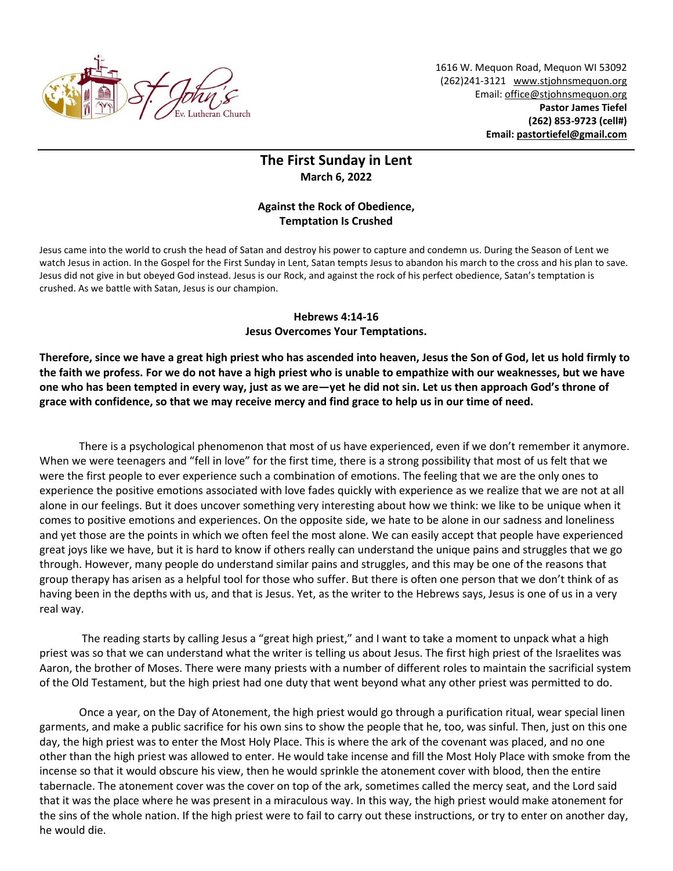

1616 W. Mequon Road, Mequon WI 53092 (262)241-3121 [www.stjohnsmequon.org](http://www.stjohnsmequon.org/) Email[: office@stjohnsmequon.org](mailto:office@stjohnsmequon.org) **Pastor James Tiefel (262) 853-9723 (cell#) Email: [pastortiefel@gmail.com](mailto:pastortiefel@gmail.com)**

## **The First Sunday in Lent March 6, 2022**

## **Against the Rock of Obedience, Temptation Is Crushed**

Jesus came into the world to crush the head of Satan and destroy his power to capture and condemn us. During the Season of Lent we watch Jesus in action. In the Gospel for the First Sunday in Lent, Satan tempts Jesus to abandon his march to the cross and his plan to save. Jesus did not give in but obeyed God instead. Jesus is our Rock, and against the rock of his perfect obedience, Satan's temptation is crushed. As we battle with Satan, Jesus is our champion.

## **Hebrews 4:14-16 Jesus Overcomes Your Temptations.**

**Therefore, since we have a great high priest who has ascended into heaven, Jesus the Son of God, let us hold firmly to the faith we profess. For we do not have a high priest who is unable to empathize with our weaknesses, but we have one who has been tempted in every way, just as we are—yet he did not sin. Let us then approach God's throne of grace with confidence, so that we may receive mercy and find grace to help us in our time of need.**

There is a psychological phenomenon that most of us have experienced, even if we don't remember it anymore. When we were teenagers and "fell in love" for the first time, there is a strong possibility that most of us felt that we were the first people to ever experience such a combination of emotions. The feeling that we are the only ones to experience the positive emotions associated with love fades quickly with experience as we realize that we are not at all alone in our feelings. But it does uncover something very interesting about how we think: we like to be unique when it comes to positive emotions and experiences. On the opposite side, we hate to be alone in our sadness and loneliness and yet those are the points in which we often feel the most alone. We can easily accept that people have experienced great joys like we have, but it is hard to know if others really can understand the unique pains and struggles that we go through. However, many people do understand similar pains and struggles, and this may be one of the reasons that group therapy has arisen as a helpful tool for those who suffer. But there is often one person that we don't think of as having been in the depths with us, and that is Jesus. Yet, as the writer to the Hebrews says, Jesus is one of us in a very real way.

The reading starts by calling Jesus a "great high priest," and I want to take a moment to unpack what a high priest was so that we can understand what the writer is telling us about Jesus. The first high priest of the Israelites was Aaron, the brother of Moses. There were many priests with a number of different roles to maintain the sacrificial system of the Old Testament, but the high priest had one duty that went beyond what any other priest was permitted to do.

Once a year, on the Day of Atonement, the high priest would go through a purification ritual, wear special linen garments, and make a public sacrifice for his own sins to show the people that he, too, was sinful. Then, just on this one day, the high priest was to enter the Most Holy Place. This is where the ark of the covenant was placed, and no one other than the high priest was allowed to enter. He would take incense and fill the Most Holy Place with smoke from the incense so that it would obscure his view, then he would sprinkle the atonement cover with blood, then the entire tabernacle. The atonement cover was the cover on top of the ark, sometimes called the mercy seat, and the Lord said that it was the place where he was present in a miraculous way. In this way, the high priest would make atonement for the sins of the whole nation. If the high priest were to fail to carry out these instructions, or try to enter on another day, he would die.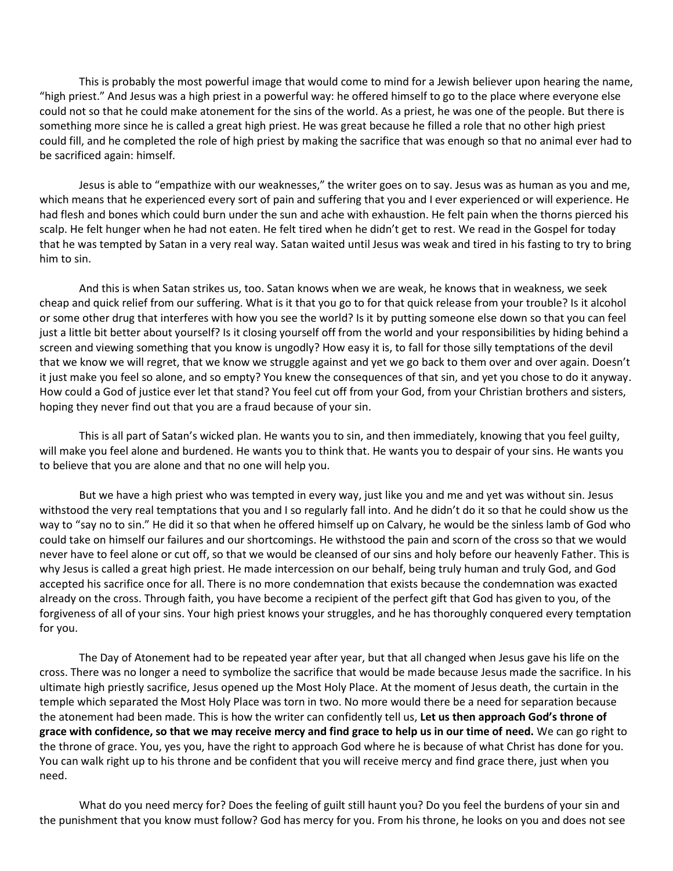This is probably the most powerful image that would come to mind for a Jewish believer upon hearing the name, "high priest." And Jesus was a high priest in a powerful way: he offered himself to go to the place where everyone else could not so that he could make atonement for the sins of the world. As a priest, he was one of the people. But there is something more since he is called a great high priest. He was great because he filled a role that no other high priest could fill, and he completed the role of high priest by making the sacrifice that was enough so that no animal ever had to be sacrificed again: himself.

Jesus is able to "empathize with our weaknesses," the writer goes on to say. Jesus was as human as you and me, which means that he experienced every sort of pain and suffering that you and I ever experienced or will experience. He had flesh and bones which could burn under the sun and ache with exhaustion. He felt pain when the thorns pierced his scalp. He felt hunger when he had not eaten. He felt tired when he didn't get to rest. We read in the Gospel for today that he was tempted by Satan in a very real way. Satan waited until Jesus was weak and tired in his fasting to try to bring him to sin.

And this is when Satan strikes us, too. Satan knows when we are weak, he knows that in weakness, we seek cheap and quick relief from our suffering. What is it that you go to for that quick release from your trouble? Is it alcohol or some other drug that interferes with how you see the world? Is it by putting someone else down so that you can feel just a little bit better about yourself? Is it closing yourself off from the world and your responsibilities by hiding behind a screen and viewing something that you know is ungodly? How easy it is, to fall for those silly temptations of the devil that we know we will regret, that we know we struggle against and yet we go back to them over and over again. Doesn't it just make you feel so alone, and so empty? You knew the consequences of that sin, and yet you chose to do it anyway. How could a God of justice ever let that stand? You feel cut off from your God, from your Christian brothers and sisters, hoping they never find out that you are a fraud because of your sin.

This is all part of Satan's wicked plan. He wants you to sin, and then immediately, knowing that you feel guilty, will make you feel alone and burdened. He wants you to think that. He wants you to despair of your sins. He wants you to believe that you are alone and that no one will help you.

But we have a high priest who was tempted in every way, just like you and me and yet was without sin. Jesus withstood the very real temptations that you and I so regularly fall into. And he didn't do it so that he could show us the way to "say no to sin." He did it so that when he offered himself up on Calvary, he would be the sinless lamb of God who could take on himself our failures and our shortcomings. He withstood the pain and scorn of the cross so that we would never have to feel alone or cut off, so that we would be cleansed of our sins and holy before our heavenly Father. This is why Jesus is called a great high priest. He made intercession on our behalf, being truly human and truly God, and God accepted his sacrifice once for all. There is no more condemnation that exists because the condemnation was exacted already on the cross. Through faith, you have become a recipient of the perfect gift that God has given to you, of the forgiveness of all of your sins. Your high priest knows your struggles, and he has thoroughly conquered every temptation for you.

The Day of Atonement had to be repeated year after year, but that all changed when Jesus gave his life on the cross. There was no longer a need to symbolize the sacrifice that would be made because Jesus made the sacrifice. In his ultimate high priestly sacrifice, Jesus opened up the Most Holy Place. At the moment of Jesus death, the curtain in the temple which separated the Most Holy Place was torn in two. No more would there be a need for separation because the atonement had been made. This is how the writer can confidently tell us, **Let us then approach God's throne of grace with confidence, so that we may receive mercy and find grace to help us in our time of need.** We can go right to the throne of grace. You, yes you, have the right to approach God where he is because of what Christ has done for you. You can walk right up to his throne and be confident that you will receive mercy and find grace there, just when you need.

What do you need mercy for? Does the feeling of guilt still haunt you? Do you feel the burdens of your sin and the punishment that you know must follow? God has mercy for you. From his throne, he looks on you and does not see